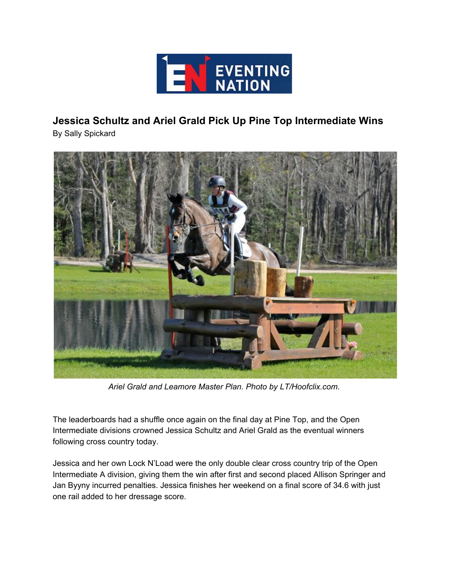

## **Jessica Schultz and Ariel Grald Pick Up Pine Top Intermediate Wins**

By Sally Spickard



*Ariel Grald and Leamore Master Plan. Photo by LT/Hoofclix.com.*

The leaderboards had a shuffle once again on the final day at Pine Top, and the Open Intermediate divisions crowned Jessica Schultz and Ariel Grald as the eventual winners following cross country today.

Jessica and her own Lock N'Load were the only double clear cross country trip of the Open Intermediate A division, giving them the win after first and second placed Allison Springer and Jan Byyny incurred penalties. Jessica finishes her weekend on a final score of 34.6 with just one rail added to her dressage score.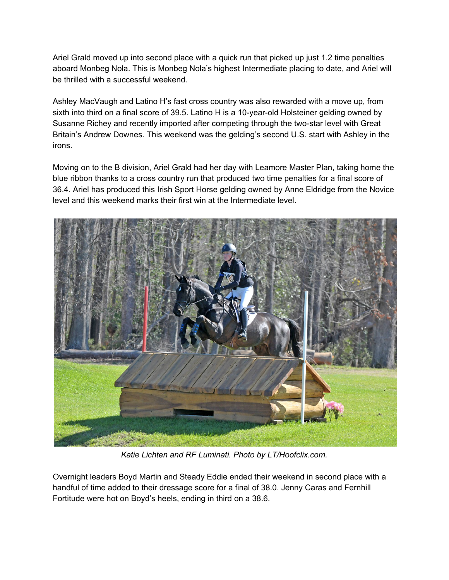Ariel Grald moved up into second place with a quick run that picked up just 1.2 time penalties aboard Monbeg Nola. This is Monbeg Nola's highest Intermediate placing to date, and Ariel will be thrilled with a successful weekend.

Ashley MacVaugh and Latino H's fast cross country was also rewarded with a move up, from sixth into third on a final score of 39.5. Latino H is a 10-year-old Holsteiner gelding owned by Susanne Richey and recently imported after competing through the two-star level with Great Britain's Andrew Downes. This weekend was the gelding's second U.S. start with Ashley in the irons.

Moving on to the B division, Ariel Grald had her day with Leamore Master Plan, taking home the blue ribbon thanks to a cross country run that produced two time penalties for a final score of 36.4. Ariel has produced this Irish Sport Horse gelding owned by Anne Eldridge from the Novice level and this weekend marks their first win at the Intermediate level.



*Katie Lichten and RF Luminati. Photo by LT/Hoofclix.com.*

Overnight leaders Boyd Martin and Steady Eddie ended their weekend in second place with a handful of time added to their dressage score for a final of 38.0. Jenny Caras and Fernhill Fortitude were hot on Boyd's heels, ending in third on a 38.6.